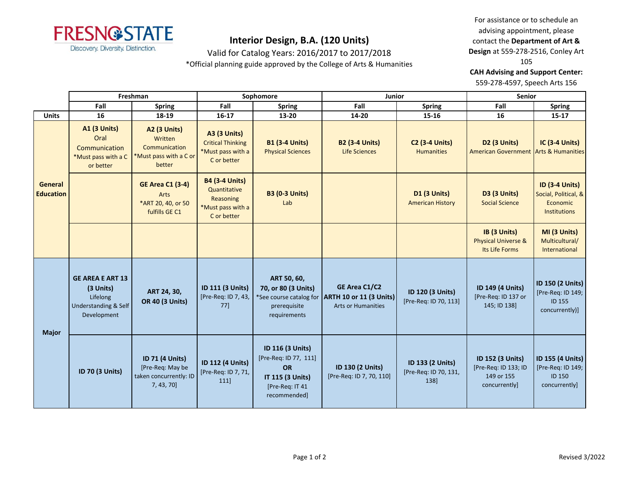

Valid for Catalog Years: 2016/2017 to 2017/2018

\*Official planning guide approved by the College of Arts & Humanities

For assistance or to schedule an advising appointment, please contact the **Department of Art & Design** at 559-278-2516, Conley Art 105

**CAH Advising and Support Center:** 

559-278-4597, Speech Arts 156

|                             | Freshman                                                                                           |                                                                                     | Sophomore                                                                              |                                                                                                               | Junior                                                                                        |                                                   | <b>Senior</b>                                                           |                                                                           |
|-----------------------------|----------------------------------------------------------------------------------------------------|-------------------------------------------------------------------------------------|----------------------------------------------------------------------------------------|---------------------------------------------------------------------------------------------------------------|-----------------------------------------------------------------------------------------------|---------------------------------------------------|-------------------------------------------------------------------------|---------------------------------------------------------------------------|
|                             | Fall                                                                                               | <b>Spring</b>                                                                       | Fall                                                                                   | <b>Spring</b>                                                                                                 | Fall                                                                                          | <b>Spring</b>                                     | Fall                                                                    | <b>Spring</b>                                                             |
| <b>Units</b>                | 16                                                                                                 | 18-19                                                                               | $16 - 17$                                                                              | 13-20                                                                                                         | 14-20                                                                                         | 15-16                                             | 16                                                                      | 15-17                                                                     |
| General<br><b>Education</b> | <b>A1 (3 Units)</b><br>Oral<br>Communication<br>*Must pass with a C<br>or better                   | <b>A2 (3 Units)</b><br>Written<br>Communication<br>*Must pass with a C or<br>better | <b>A3 (3 Units)</b><br><b>Critical Thinking</b><br>*Must pass with a<br>C or better    | <b>B1 (3-4 Units)</b><br><b>Physical Sciences</b>                                                             | <b>B2 (3-4 Units)</b><br><b>Life Sciences</b>                                                 | <b>C2 (3-4 Units)</b><br><b>Humanities</b>        | D <sub>2</sub> (3 Units)<br>American Government Arts & Humanities       | <b>IC (3-4 Units)</b>                                                     |
|                             |                                                                                                    | <b>GE Area C1 (3-4)</b><br>Arts<br>*ART 20, 40, or 50<br>fulfills GE C1             | <b>B4 (3-4 Units)</b><br>Quantitative<br>Reasoning<br>*Must pass with a<br>C or better | <b>B3 (0-3 Units)</b><br>Lab                                                                                  |                                                                                               | <b>D1 (3 Units)</b><br><b>American History</b>    | D3 (3 Units)<br><b>Social Science</b>                                   | ID (3-4 Units)<br>Social, Political, &<br>Economic<br><b>Institutions</b> |
|                             |                                                                                                    |                                                                                     |                                                                                        |                                                                                                               |                                                                                               |                                                   | IB (3 Units)<br><b>Physical Universe &amp;</b><br>Its Life Forms        | MI (3 Units)<br>Multicultural/<br>International                           |
| <b>Major</b>                | <b>GE AREA E ART 13</b><br>(3 Units)<br>Lifelong<br><b>Understanding &amp; Self</b><br>Development | ART 24, 30,<br><b>OR 40 (3 Units)</b>                                               | ID 111 (3 Units)<br>[Pre-Req: ID 7, 43,<br>77]                                         | ART 50, 60,<br>70, or 80 (3 Units)<br>prerequisite<br>requirements                                            | GE Area C1/C2<br>*See course catalog for ARTH 10 or 11 (3 Units)<br><b>Arts or Humanities</b> | ID 120 (3 Units)<br>[Pre-Req: ID 70, 113]         | ID 149 (4 Units)<br>[Pre-Req: ID 137 or<br>145; ID 138]                 | ID 150 (2 Units)<br>[Pre-Req: ID 149;<br><b>ID 155</b><br>concurrently)]  |
|                             | ID 70 (3 Units)                                                                                    | ID 71 (4 Units)<br>[Pre-Req: May be<br>taken concurrently: ID<br>7, 43, 70          | ID 112 (4 Units)<br>[Pre-Req: ID 7, 71,<br>111]                                        | ID 116 (3 Units)<br>[Pre-Req: ID 77, 111]<br><b>OR</b><br>IT 115 (3 Units)<br>[Pre-Req: IT 41<br>recommended] | ID 130 (2 Units)<br>[Pre-Req: ID 7, 70, 110]                                                  | ID 133 (2 Units)<br>[Pre-Req: ID 70, 131,<br>138] | ID 152 (3 Units)<br>[Pre-Req: ID 133; ID<br>149 or 155<br>concurrently] | ID 155 (4 Units)<br>[Pre-Req: ID 149;<br><b>ID 150</b><br>concurrently]   |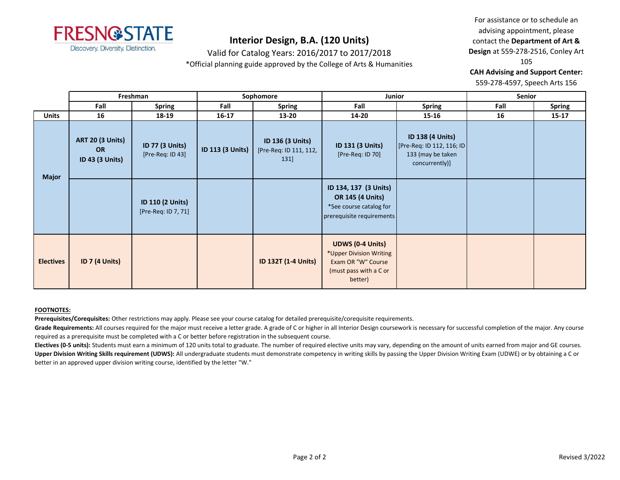

Valid for Catalog Years: 2016/2017 to 2017/2018

\*Official planning guide approved by the College of Arts & Humanities

For assistance or to schedule an advising appointment, please contact the **Department of Art & Design** at 559-278-2516, Conley Art 105

**CAH Advising and Support Center:** 

559-278-4597, Speech Arts 156

|                  | Freshman                                                       |                                                | Sophomore        |                                                   | <b>Junior</b>                                                                                                 |                                                                                             | <b>Senior</b> |               |
|------------------|----------------------------------------------------------------|------------------------------------------------|------------------|---------------------------------------------------|---------------------------------------------------------------------------------------------------------------|---------------------------------------------------------------------------------------------|---------------|---------------|
|                  | Fall                                                           | <b>Spring</b>                                  | Fall             | <b>Spring</b>                                     | Fall                                                                                                          | <b>Spring</b>                                                                               | Fall          | <b>Spring</b> |
| <b>Units</b>     | 16                                                             | 18-19                                          | $16 - 17$        | 13-20                                             | 14-20                                                                                                         | 15-16                                                                                       | 16            | $15 - 17$     |
| <b>Major</b>     | <b>ART 20 (3 Units)</b><br><b>OR</b><br><b>ID 43 (3 Units)</b> | <b>ID 77 (3 Units)</b><br>[Pre-Req: ID 43]     | ID 113 (3 Units) | ID 136 (3 Units)<br>[Pre-Req: ID 111, 112,<br>131 | ID 131 (3 Units)<br>[Pre-Req: ID 70]                                                                          | <b>ID 138 (4 Units)</b><br>[Pre-Req: ID 112, 116; ID<br>133 (may be taken<br>concurrently)] |               |               |
|                  |                                                                | <b>ID 110 (2 Units)</b><br>[Pre-Req: ID 7, 71] |                  |                                                   | ID 134, 137 (3 Units)<br><b>OR 145 (4 Units)</b><br>*See course catalog for<br>prerequisite requirements      |                                                                                             |               |               |
| <b>Electives</b> | <b>ID 7 (4 Units)</b>                                          |                                                |                  | <b>ID 132T (1-4 Units)</b>                        | <b>UDWS (0-4 Units)</b><br>*Upper Division Writing<br>Exam OR "W" Course<br>(must pass with a C or<br>better) |                                                                                             |               |               |

### **FOOTNOTES:**

**Prerequisites/Corequisites:** Other restrictions may apply. Please see your course catalog for detailed prerequisite/corequisite requirements.

Grade Requirements: All courses required for the major must receive a letter grade. A grade of C or higher in all Interior Design coursework is necessary for successful completion of the major. Any course required as a prerequisite must be completed with a C or better before registration in the subsequent course.

Electives (0-5 units): Students must earn a minimum of 120 units total to graduate. The number of required elective units may vary, depending on the amount of units earned from major and GE courses. Upper Division Writing Skills requirement (UDWS): All undergraduate students must demonstrate competency in writing skills by passing the Upper Division Writing Exam (UDWE) or by obtaining a C or better in an approved upper division writing course, identified by the letter "W."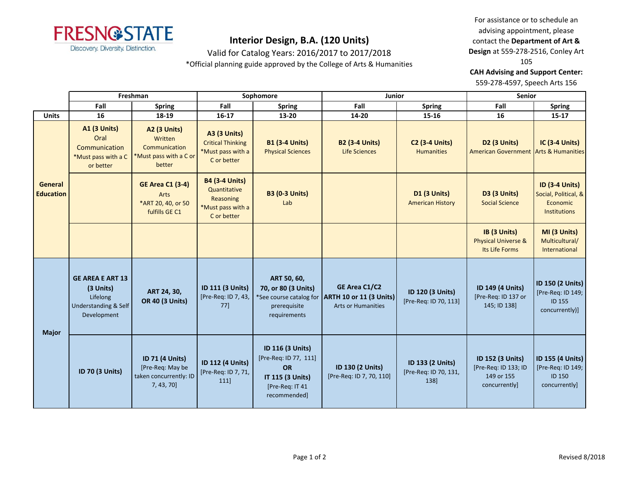

Valid for Catalog Years: 2016/2017 to 2017/2018

\*Official planning guide approved by the College of Arts & Humanities

For assistance or to schedule an advising appointment, please contact the **Department of Art & Design** at 559-278-2516, Conley Art 105

**CAH Advising and Support Center:** 

559-278-4597, Speech Arts 156

|                             | Freshman                                                                                           |                                                                                     | Sophomore                                                                              |                                                                                                               | Junior                                                                                        |                                                   | <b>Senior</b>                                                                  |                                                                                  |
|-----------------------------|----------------------------------------------------------------------------------------------------|-------------------------------------------------------------------------------------|----------------------------------------------------------------------------------------|---------------------------------------------------------------------------------------------------------------|-----------------------------------------------------------------------------------------------|---------------------------------------------------|--------------------------------------------------------------------------------|----------------------------------------------------------------------------------|
|                             | Fall                                                                                               | <b>Spring</b>                                                                       | Fall                                                                                   | <b>Spring</b>                                                                                                 | Fall                                                                                          | <b>Spring</b>                                     | Fall                                                                           | <b>Spring</b>                                                                    |
| <b>Units</b>                | 16                                                                                                 | 18-19                                                                               | $16 - 17$                                                                              | 13-20                                                                                                         | 14-20                                                                                         | 15-16                                             | 16                                                                             | $15 - 17$                                                                        |
| General<br><b>Education</b> | <b>A1 (3 Units)</b><br>Oral<br>Communication<br>*Must pass with a C<br>or better                   | <b>A2 (3 Units)</b><br>Written<br>Communication<br>*Must pass with a C or<br>better | <b>A3 (3 Units)</b><br><b>Critical Thinking</b><br>*Must pass with a<br>C or better    | <b>B1 (3-4 Units)</b><br><b>Physical Sciences</b>                                                             | <b>B2 (3-4 Units)</b><br><b>Life Sciences</b>                                                 | <b>C2 (3-4 Units)</b><br><b>Humanities</b>        | D <sub>2</sub> (3 Units)<br><b>American Government Arts &amp; Humanities</b>   | <b>IC (3-4 Units)</b>                                                            |
|                             |                                                                                                    | <b>GE Area C1 (3-4)</b><br>Arts<br>*ART 20, 40, or 50<br>fulfills GE C1             | <b>B4 (3-4 Units)</b><br>Quantitative<br>Reasoning<br>*Must pass with a<br>C or better | <b>B3 (0-3 Units)</b><br>Lab                                                                                  |                                                                                               | <b>D1 (3 Units)</b><br><b>American History</b>    | D3 (3 Units)<br><b>Social Science</b>                                          | <b>ID (3-4 Units)</b><br>Social, Political, &<br>Economic<br><b>Institutions</b> |
|                             |                                                                                                    |                                                                                     |                                                                                        |                                                                                                               |                                                                                               |                                                   | IB (3 Units)<br><b>Physical Universe &amp;</b><br>Its Life Forms               | MI (3 Units)<br>Multicultural/<br>International                                  |
| <b>Major</b>                | <b>GE AREA E ART 13</b><br>(3 Units)<br>Lifelong<br><b>Understanding &amp; Self</b><br>Development | ART 24, 30,<br><b>OR 40 (3 Units)</b>                                               | <b>ID 111 (3 Units)</b><br>[Pre-Req: ID 7, 43,<br>77]                                  | ART 50, 60,<br>70, or 80 (3 Units)<br>prerequisite<br>requirements                                            | GE Area C1/C2<br>*See course catalog for ARTH 10 or 11 (3 Units)<br><b>Arts or Humanities</b> | ID 120 (3 Units)<br>[Pre-Req: ID 70, 113]         | <b>ID 149 (4 Units)</b><br>[Pre-Req: ID 137 or<br>145; ID 138]                 | ID 150 (2 Units)<br>[Pre-Req: ID 149;<br><b>ID 155</b><br>concurrently)]         |
|                             | ID 70 (3 Units)                                                                                    | ID 71 (4 Units)<br>[Pre-Req: May be<br>taken concurrently: ID<br>$7, 43, 70$ ]      | ID 112 (4 Units)<br>[Pre-Req: ID 7, 71,<br>111]                                        | ID 116 (3 Units)<br>[Pre-Req: ID 77, 111]<br><b>OR</b><br>IT 115 (3 Units)<br>[Pre-Req: IT 41<br>recommended] | ID 130 (2 Units)<br>[Pre-Req: ID 7, 70, 110]                                                  | ID 133 (2 Units)<br>[Pre-Req: ID 70, 131,<br>138] | <b>ID 152 (3 Units)</b><br>[Pre-Req: ID 133; ID<br>149 or 155<br>concurrently] | <b>ID 155 (4 Units)</b><br>[Pre-Req: ID 149;<br><b>ID 150</b><br>concurrently]   |